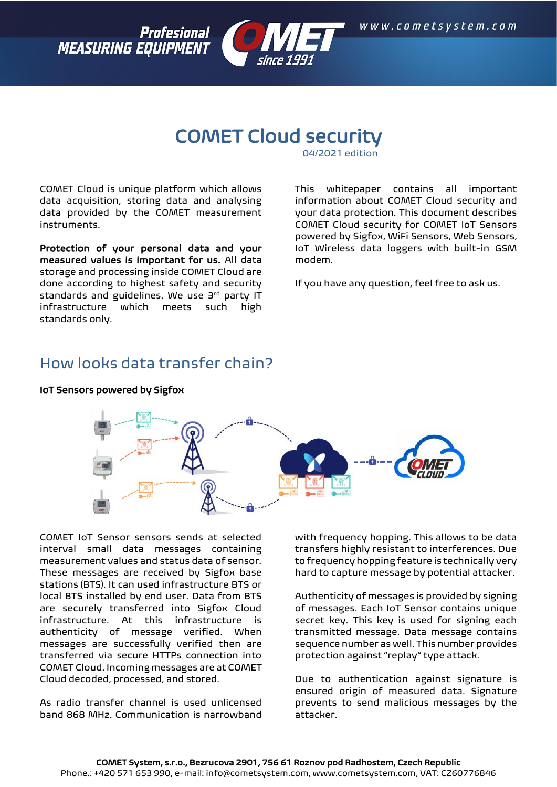



# COMET Cloud security

04/2021 edition

COMET Cloud is unique platform which allows data acquisition, storing data and analysing data provided by the COMET measurement instruments.

Protection of your personal data and your measured values is important for us. All data storage and processing inside COMET Cloud are done according to highest safety and security standards and guidelines. We use 3rd party IT infrastructure which meets such high standards only.

This whitepaper contains all important information about COMET Cloud security and your data protection. This document describes COMET Cloud security for COMET IoT Sensors powered by Sigfox, WiFi Sensors, Web Sensors, IoT Wireless data loggers with built-in GSM modem.

If you have any question, feel free to ask us.

### How looks data transfer chain?



IoT Sensors powered by Sigfox

COMET IoT Sensor sensors sends at selected interval small data messages containing measurement values and status data of sensor. These messages are received by Sigfox base stations (BTS). It can used infrastructure BTS or local BTS installed by end user. Data from BTS are securely transferred into Sigfox Cloud infrastructure. At this infrastructure is authenticity of message verified. When messages are successfully verified then are transferred via secure HTTPs connection into COMET Cloud. Incoming messages are at COMET Cloud decoded, processed, and stored.

As radio transfer channel is used unlicensed band 868 MHz. Communication is narrowband

with frequency hopping. This allows to be data transfers highly resistant to interferences. Due to frequency hopping feature is technically very hard to capture message by potential attacker.

Authenticity of messages is provided by signing of messages. Each IoT Sensor contains unique secret key. This key is used for signing each transmitted message. Data message contains sequence number as well. This number provides protection against "replay" type attack.

Due to authentication against signature is ensured origin of measured data. Signature prevents to send malicious messages by the attacker.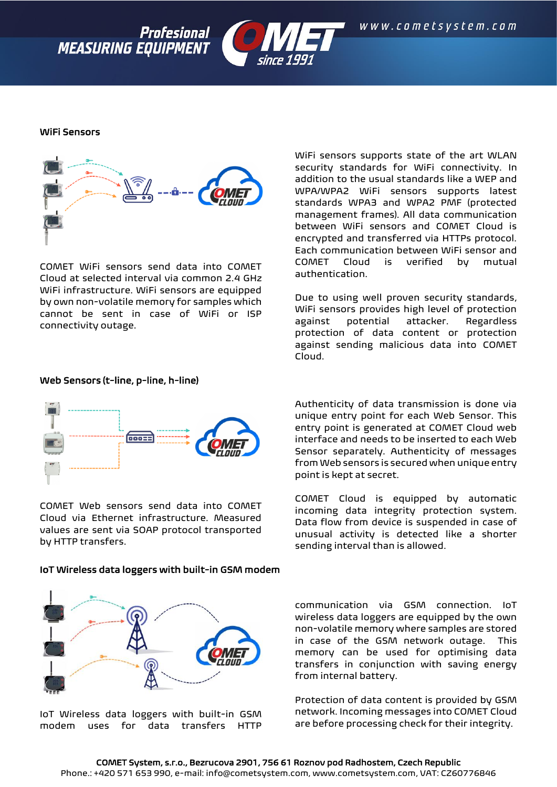



Profesional

**MEASURING EQUIPMENT** 

COMET WiFi sensors send data into COMET Cloud at selected interval via common 2.4 GHz WiFi infrastructure. WiFi sensors are equipped by own non-volatile memory for samples which cannot be sent in case of WiFi or ISP connectivity outage.

Web Sensors (t-line, p-line, h-line)



COMET Web sensors send data into COMET Cloud via Ethernet infrastructure. Measured values are sent via SOAP protocol transported by HTTP transfers.

#### IoT Wireless data loggers with built-in GSM modem



IoT Wireless data loggers with built-in GSM modem uses for data transfers HTTP

WiFi sensors supports state of the art WLAN security standards for WiFi connectivity. In addition to the usual standards like a WEP and WPA/WPA2 WiFi sensors supports latest standards WPA3 and WPA2 PMF (protected management frames). All data communication between WiFi sensors and COMET Cloud is encrypted and transferred via HTTPs protocol. Each communication between WiFi sensor and COMET Cloud is verified by mutual authentication.

Due to using well proven security standards, WiFi sensors provides high level of protection against potential attacker. Regardless protection of data content or protection against sending malicious data into COMET Cloud.

Authenticity of data transmission is done via unique entry point for each Web Sensor. This entry point is generated at COMET Cloud web interface and needs to be inserted to each Web Sensor separately. Authenticity of messages from Web sensors is secured when unique entry point is kept at secret.

COMET Cloud is equipped by automatic incoming data integrity protection system. Data flow from device is suspended in case of unusual activity is detected like a shorter sending interval than is allowed.

communication via GSM connection. IoT wireless data loggers are equipped by the own non-volatile memory where samples are stored in case of the GSM network outage. This memory can be used for optimising data transfers in conjunction with saving energy from internal battery.

Protection of data content is provided by GSM network. Incoming messages into COMET Cloud are before processing check for their integrity.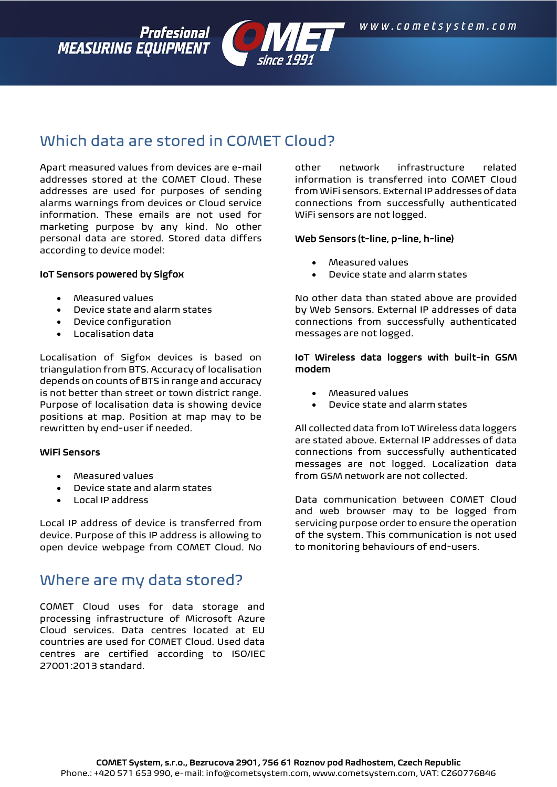Profesional **MEASURING EQUIPMENT** 



# Which data are stored in COMET Cloud?

Apart measured values from devices are e-mail addresses stored at the COMET Cloud. These addresses are used for purposes of sending alarms warnings from devices or Cloud service information. These emails are not used for marketing purpose by any kind. No other personal data are stored. Stored data differs according to device model:

#### IoT Sensors powered by Sigfox

- Measured values
- Device state and alarm states
- Device configuration
- Localisation data

Localisation of Sigfox devices is based on triangulation from BTS. Accuracy of localisation depends on counts of BTS in range and accuracy is not better than street or town district range. Purpose of localisation data is showing device positions at map. Position at map may to be rewritten by end-user if needed.

#### WiFi Sensors

- Measured values
- Device state and alarm states
- Local IP address

Local IP address of device is transferred from device. Purpose of this IP address is allowing to open device webpage from COMET Cloud. No

### Where are my data stored?

COMET Cloud uses for data storage and processing infrastructure of Microsoft Azure Cloud services. Data centres located at EU countries are used for COMET Cloud. Used data centres are certified according to ISO/IEC 27001:2013 standard.

other network infrastructure related information is transferred into COMET Cloud from WiFi sensors. External IP addresses of data connections from successfully authenticated WiFi sensors are not logged.

#### Web Sensors (t-line, p-line, h-line)

- Measured values
- Device state and alarm states

No other data than stated above are provided by Web Sensors. External IP addresses of data connections from successfully authenticated messages are not logged.

#### IoT Wireless data loggers with built-in GSM modem

- Measured values
- Device state and alarm states

All collected data from IoT Wireless data loggers are stated above. External IP addresses of data connections from successfully authenticated messages are not logged. Localization data from GSM network are not collected.

Data communication between COMET Cloud and web browser may to be logged from servicing purpose order to ensure the operation of the system. This communication is not used to monitoring behaviours of end-users.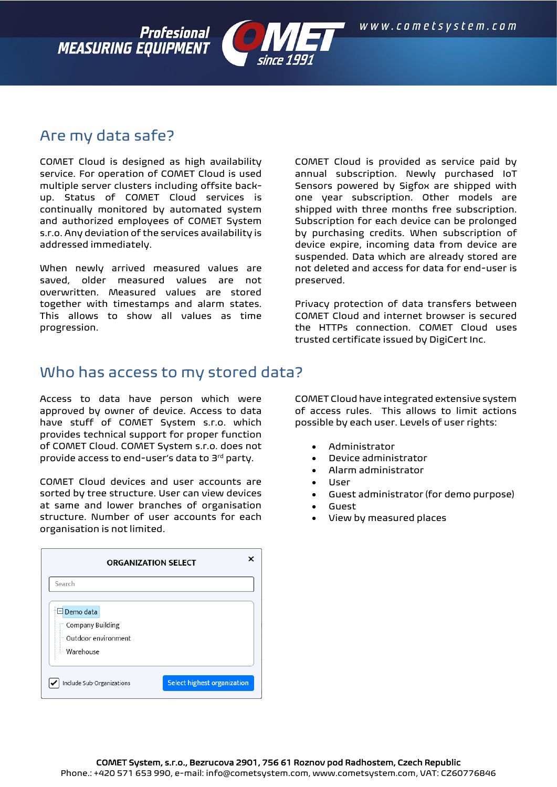Profesional **MEASURING EQUIPMENT** 



### Are my data safe?

COMET Cloud is designed as high availability service. For operation of COMET Cloud is used multiple server clusters including offsite backup. Status of COMET Cloud services is continually monitored by automated system and authorized employees of COMET System s.r.o. Any deviation of the services availability is addressed immediately.

When newly arrived measured values are saved, older measured values are not overwritten. Measured values are stored together with timestamps and alarm states. This allows to show all values as time progression.

COMET Cloud is provided as service paid by annual subscription. Newly purchased IoT Sensors powered by Sigfox are shipped with one year subscription. Other models are shipped with three months free subscription. Subscription for each device can be prolonged by purchasing credits. When subscription of device expire, incoming data from device are suspended. Data which are already stored are not deleted and access for data for end-user is preserved.

Privacy protection of data transfers between COMET Cloud and internet browser is secured the HTTPs connection. COMET Cloud uses trusted certificate issued by DigiCert Inc.

### Who has access to my stored data?

Access to data have person which were approved by owner of device. Access to data have stuff of COMET System s.r.o. which provides technical support for proper function of COMET Cloud. COMET System s.r.o. does not provide access to end-user's data to 3rd party.

COMET Cloud devices and user accounts are sorted by tree structure. User can view devices at same and lower branches of organisation structure. Number of user accounts for each organisation is not limited.

| <b>ORGANIZATION SELECT</b>                                                     |                                    |
|--------------------------------------------------------------------------------|------------------------------------|
| Search                                                                         |                                    |
| $\Box$ Demo data<br>" Company Building<br>- Outdoor environment<br>- Warehouse |                                    |
| Include Sub-Organizations                                                      | <b>Select highest organization</b> |

COMET Cloud have integrated extensive system of access rules. This allows to limit actions possible by each user. Levels of user rights:

- Administrator
- Device administrator
- Alarm administrator
- User
- Guest administrator (for demo purpose)
- Guest
- View by measured places